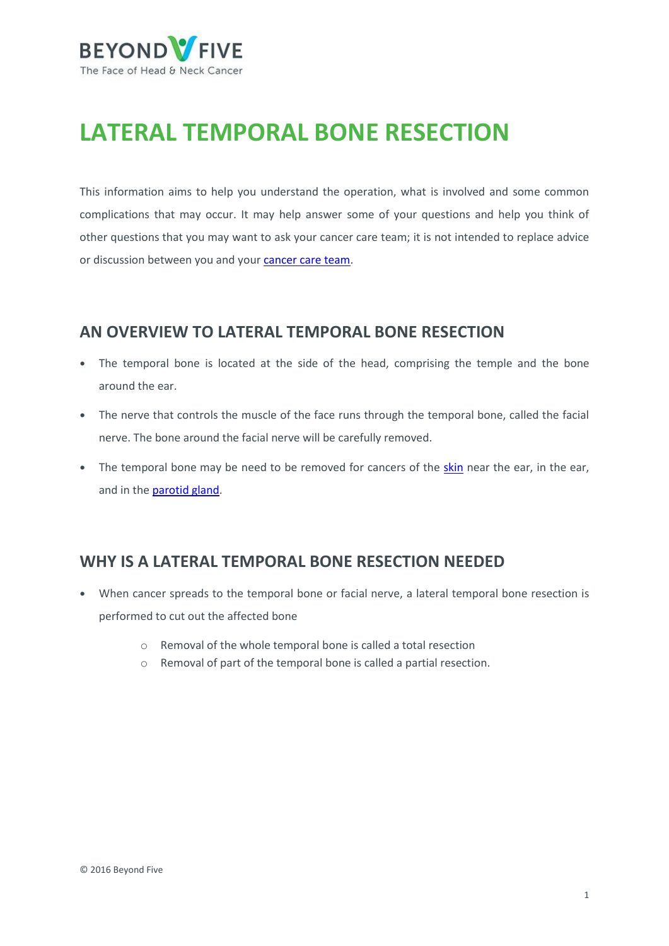

# **LATERAL TEMPORAL BONE RESECTION**

This information aims to help you understand the operation, what is involved and some common complications that may occur. It may help answer some of your questions and help you think of other questions that you may want to ask your cancer care team; it is not intended to replace advice or discussion between you and you[r cancer care team.](https://beyondfive.org.au/Diagnosis/The-cancer-care-team.aspx)

### **AN OVERVIEW TO LATERAL TEMPORAL BONE RESECTION**

- **•** The temporal bone is located at the side of the head, comprising the temple and the bone around the ear.
- **•** The nerve that controls the muscle of the face runs through the temporal bone, called the facial nerve. The bone around the facial nerve will be carefully removed.
- The temporal bone may be need to be removed for cancers of the [skin](https://www.beyondfive.org.au/Types/Skin-cancer/Overview.aspx) near the ear, in the ear, and in th[e parotid gland.](https://www.beyondfive.org.au/Types/Salivary-gland-cancer/Overview.aspx)

# **WHY IS A LATERAL TEMPORAL BONE RESECTION NEEDED**

- **•** When cancer spreads to the temporal bone or facial nerve, a lateral temporal bone resection is performed to cut out the affected bone
	- o Removal of the whole temporal bone is called a total resection
	- o Removal of part of the temporal bone is called a partial resection.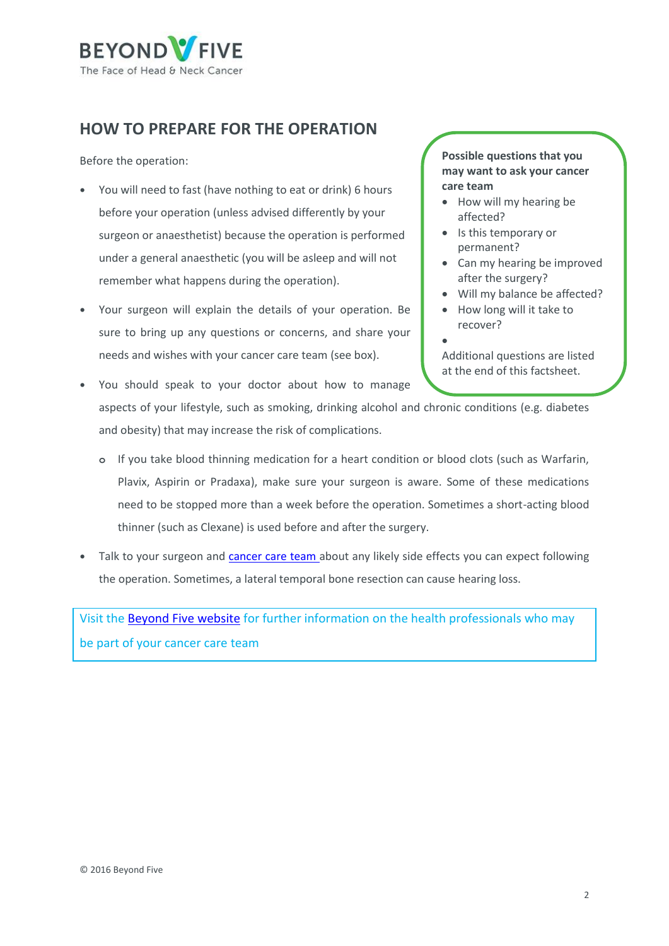

# **HOW TO PREPARE FOR THE OPERATION**

Before the operation:

- **•** You will need to fast (have nothing to eat or drink) 6 hours before your operation (unless advised differently by your surgeon or anaesthetist) because the operation is performed under a general anaesthetic (you will be asleep and will not remember what happens during the operation).
- **•** Your surgeon will explain the details of your operation. Be sure to bring up any questions or concerns, and share your needs and wishes with your cancer care team (see box).

**Possible questions that you may want to ask your cancer care team** 

- How will my hearing be affected?
- Is this temporary or permanent?
- Can my hearing be improved after the surgery?
- Will my balance be affected?
- How long will it take to recover?
- $\bullet$

Additional questions are listed at the end of this factsheet.

- **•** You should speak to your doctor about how to manage aspects of your lifestyle, such as smoking, drinking alcohol and chronic conditions (e.g. diabetes and obesity) that may increase the risk of complications.
	- **o** If you take blood thinning medication for a heart condition or blood clots (such as Warfarin, Plavix, Aspirin or Pradaxa), make sure your surgeon is aware. Some of these medications need to be stopped more than a week before the operation. Sometimes a short-acting blood thinner (such as Clexane) is used before and after the surgery.
- **•** Talk to your surgeon and [cancer care team](https://beyondfive.org.au/Diagnosis/The-cancer-care-team.aspx) about any likely side effects you can expect following the operation. Sometimes, a lateral temporal bone resection can cause hearing loss.

Visit th[e Beyond Five website](http://www.beyondfive.org.au/) for further information on the health professionals who may be part of your cancer care team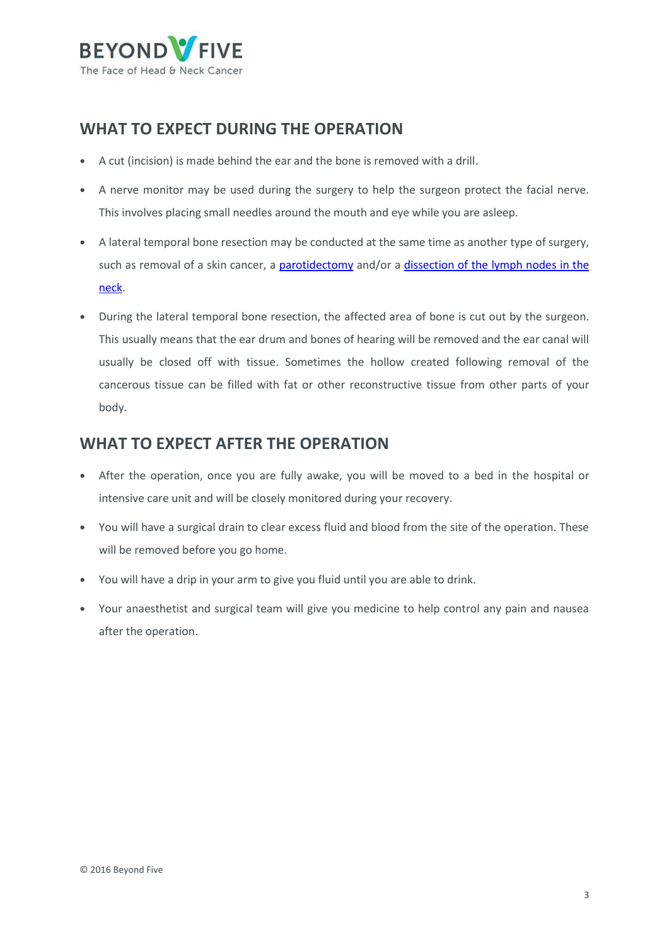

# **WHAT TO EXPECT DURING THE OPERATION**

- **•** A cut (incision) is made behind the ear and the bone is removed with a drill.
- **•** A nerve monitor may be used during the surgery to help the surgeon protect the facial nerve. This involves placing small needles around the mouth and eye while you are asleep.
- **•** A lateral temporal bone resection may be conducted at the same time as another type of surgery, such as removal of a skin cancer, a [parotidectomy](/getmedia/15779d59-ecd2-488a-8119-4fd0c3216e5b/Beyond-Five-Parotidectomy-FINAL-PDF-191016.aspx) and/or a dissection of the lymph nodes in the [neck.](/getmedia/0ea227ff-28df-4683-a084-712ce60adac7/Beyond-Five-Neck-Dissection-FINAL-PDF-171016.aspx)
- **•** During the lateral temporal bone resection, the affected area of bone is cut out by the surgeon. This usually means that the ear drum and bones of hearing will be removed and the ear canal will usually be closed off with tissue. Sometimes the hollow created following removal of the cancerous tissue can be filled with fat or other reconstructive tissue from other parts of your body.

# **WHAT TO EXPECT AFTER THE OPERATION**

- **•** After the operation, once you are fully awake, you will be moved to a bed in the hospital or intensive care unit and will be closely monitored during your recovery.
- **•** You will have a surgical drain to clear excess fluid and blood from the site of the operation. These will be removed before you go home.
- **•** You will have a drip in your arm to give you fluid until you are able to drink.
- **•** Your anaesthetist and surgical team will give you medicine to help control any pain and nausea after the operation.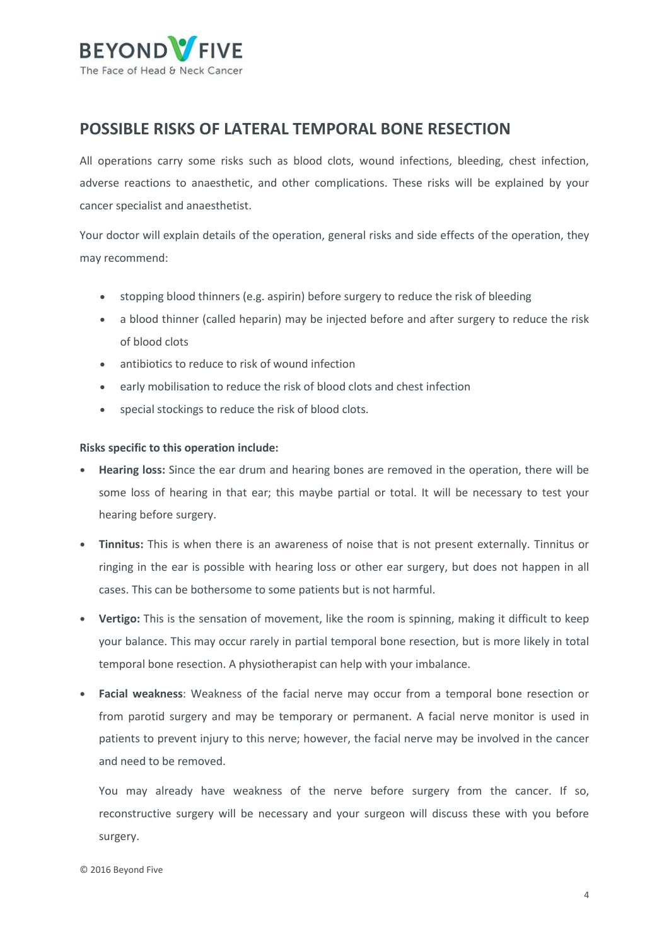

### **POSSIBLE RISKS OF LATERAL TEMPORAL BONE RESECTION**

All operations carry some risks such as blood clots, wound infections, bleeding, chest infection, adverse reactions to anaesthetic, and other complications. These risks will be explained by your cancer specialist and anaesthetist.

Your doctor will explain details of the operation, general risks and side effects of the operation, they may recommend:

- stopping blood thinners (e.g. aspirin) before surgery to reduce the risk of bleeding
- a blood thinner (called heparin) may be injected before and after surgery to reduce the risk of blood clots
- antibiotics to reduce to risk of wound infection
- early mobilisation to reduce the risk of blood clots and chest infection
- special stockings to reduce the risk of blood clots.

#### **Risks specific to this operation include:**

- **• Hearing loss:** Since the ear drum and hearing bones are removed in the operation, there will be some loss of hearing in that ear; this maybe partial or total. It will be necessary to test your hearing before surgery.
- **• Tinnitus:** This is when there is an awareness of noise that is not present externally. Tinnitus or ringing in the ear is possible with hearing loss or other ear surgery, but does not happen in all cases. This can be bothersome to some patients but is not harmful.
- **• Vertigo:** This is the sensation of movement, like the room is spinning, making it difficult to keep your balance. This may occur rarely in partial temporal bone resection, but is more likely in total temporal bone resection. A physiotherapist can help with your imbalance.
- **• Facial weakness**: Weakness of the facial nerve may occur from a temporal bone resection or from parotid surgery and may be temporary or permanent. A facial nerve monitor is used in patients to prevent injury to this nerve; however, the facial nerve may be involved in the cancer and need to be removed.

You may already have weakness of the nerve before surgery from the cancer. If so, reconstructive surgery will be necessary and your surgeon will discuss these with you before surgery.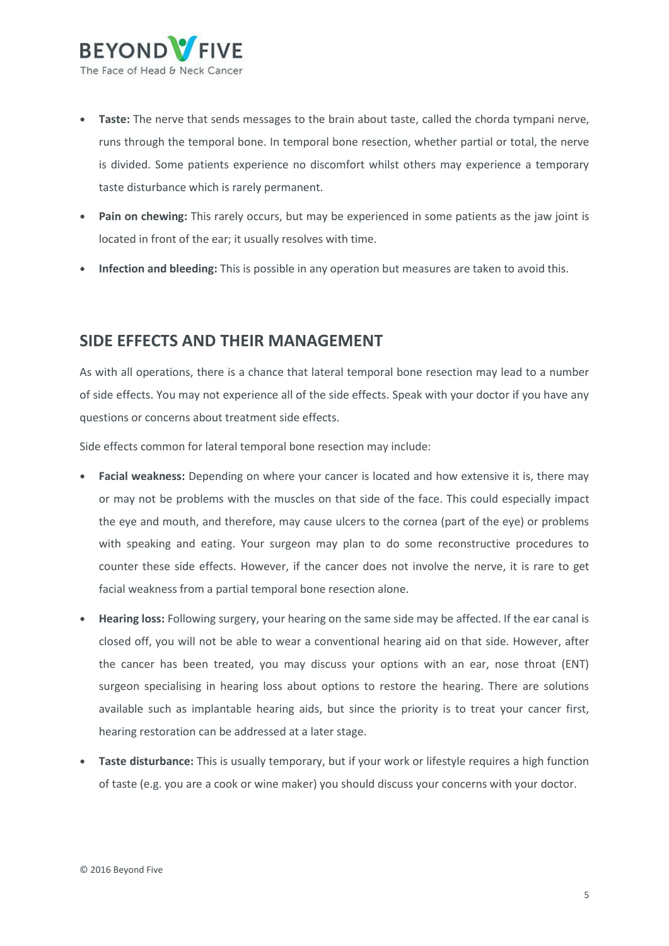

- **• Taste:** The nerve that sends messages to the brain about taste, called the chorda tympani nerve, runs through the temporal bone. In temporal bone resection, whether partial or total, the nerve is divided. Some patients experience no discomfort whilst others may experience a temporary taste disturbance which is rarely permanent.
- **• Pain on chewing:** This rarely occurs, but may be experienced in some patients as the jaw joint is located in front of the ear; it usually resolves with time.
- **• Infection and bleeding:** This is possible in any operation but measures are taken to avoid this.

### **SIDE EFFECTS AND THEIR MANAGEMENT**

As with all operations, there is a chance that lateral temporal bone resection may lead to a number of side effects. You may not experience all of the side effects. Speak with your doctor if you have any questions or concerns about treatment side effects.

Side effects common for lateral temporal bone resection may include:

- **• Facial weakness:** Depending on where your cancer is located and how extensive it is, there may or may not be problems with the muscles on that side of the face. This could especially impact the eye and mouth, and therefore, may cause ulcers to the cornea (part of the eye) or problems with speaking and eating. Your surgeon may plan to do some reconstructive procedures to counter these side effects. However, if the cancer does not involve the nerve, it is rare to get facial weakness from a partial temporal bone resection alone.
- **• Hearing loss:** Following surgery, your hearing on the same side may be affected. If the ear canal is closed off, you will not be able to wear a conventional hearing aid on that side. However, after the cancer has been treated, you may discuss your options with an ear, nose throat (ENT) surgeon specialising in hearing loss about options to restore the hearing. There are solutions available such as implantable hearing aids, but since the priority is to treat your cancer first, hearing restoration can be addressed at a later stage.
- **• Taste disturbance:** This is usually temporary, but if your work or lifestyle requires a high function of taste (e.g. you are a cook or wine maker) you should discuss your concerns with your doctor.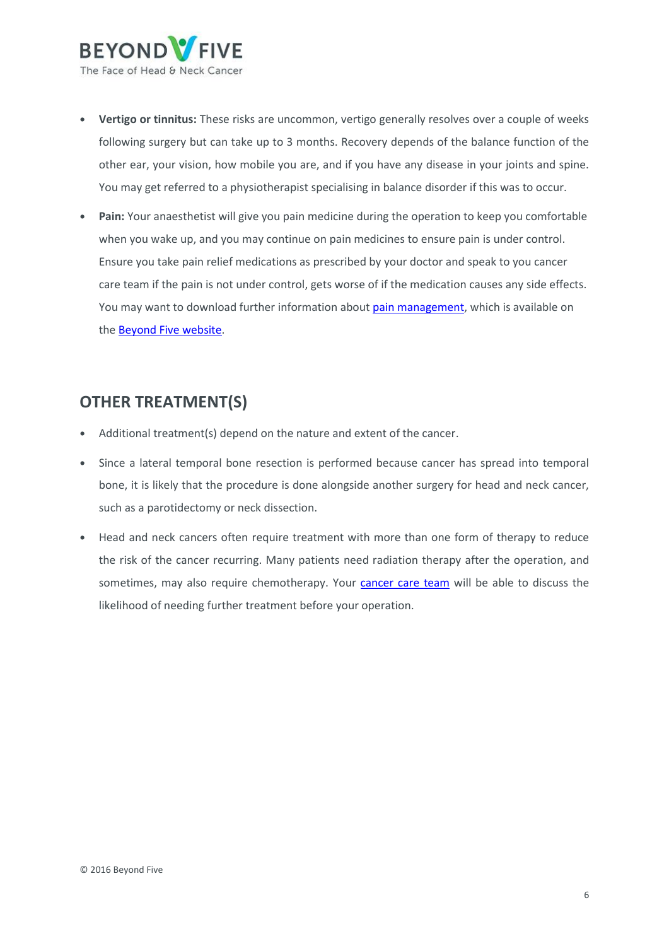

- **• Vertigo or tinnitus:** These risks are uncommon, vertigo generally resolves over a couple of weeks following surgery but can take up to 3 months. Recovery depends of the balance function of the other ear, your vision, how mobile you are, and if you have any disease in your joints and spine. You may get referred to a physiotherapist specialising in balance disorder if this was to occur.
- **• Pain:** Your anaesthetist will give you pain medicine during the operation to keep you comfortable when you wake up, and you may continue on pain medicines to ensure pain is under control. Ensure you take pain relief medications as prescribed by your doctor and speak to you cancer care team if the pain is not under control, gets worse of if the medication causes any side effects. You may want to download further information abou[t pain management,](/getmedia/0bdd4cf4-94b2-49e5-bc9a-3e38e694d9c4/Beyond-Five-Pain-management.aspx) which is available on the [Beyond Five website.](http://www.beyondfive.org.au/)

# **OTHER TREATMENT(S)**

- **•** Additional treatment(s) depend on the nature and extent of the cancer.
- **•** Since a lateral temporal bone resection is performed because cancer has spread into temporal bone, it is likely that the procedure is done alongside another surgery for head and neck cancer, such as a parotidectomy or neck dissection.
- **•** Head and neck cancers often require treatment with more than one form of therapy to reduce the risk of the cancer recurring. Many patients need radiation therapy after the operation, and sometimes, may also require chemotherapy. Your [cancer care team](https://www.beyondfive.org.au/Diagnosis/The-cancer-care-team.aspx) will be able to discuss the likelihood of needing further treatment before your operation.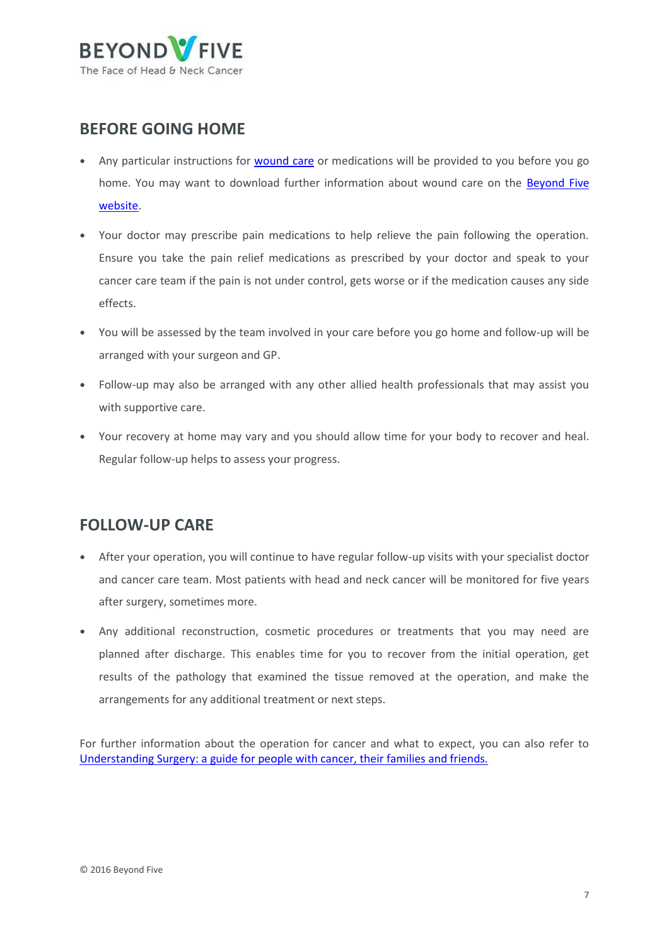

# **BEFORE GOING HOME**

- Any particular instructions for **wound care** or medications will be provided to you before you go home. You may want to download further information about wound care on the [Beyond Five](http://www.beyondfive.org.au/) [website.](http://www.beyondfive.org.au/)
- **•** Your doctor may prescribe pain medications to help relieve the pain following the operation. Ensure you take the pain relief medications as prescribed by your doctor and speak to your cancer care team if the pain is not under control, gets worse or if the medication causes any side effects.
- **•** You will be assessed by the team involved in your care before you go home and follow-up will be arranged with your surgeon and GP.
- **•** Follow-up may also be arranged with any other allied health professionals that may assist you with supportive care.
- **•** Your recovery at home may vary and you should allow time for your body to recover and heal. Regular follow-up helps to assess your progress.

# **FOLLOW-UP CARE**

- **•** After your operation, you will continue to have regular follow-up visits with your specialist doctor and cancer care team. Most patients with head and neck cancer will be monitored for five years after surgery, sometimes more.
- **•** Any additional reconstruction, cosmetic procedures or treatments that you may need are planned after discharge. This enables time for you to recover from the initial operation, get results of the pathology that examined the tissue removed at the operation, and make the arrangements for any additional treatment or next steps.

For further information about the operation for cancer and what to expect, you can also refer to Understanding Surgery: a [guide for people with cancer, their families and friends.](http://www.cancer.org.au/content/about_cancer/treatment/Understanding-Surgery_booklet_April_2016.pdf)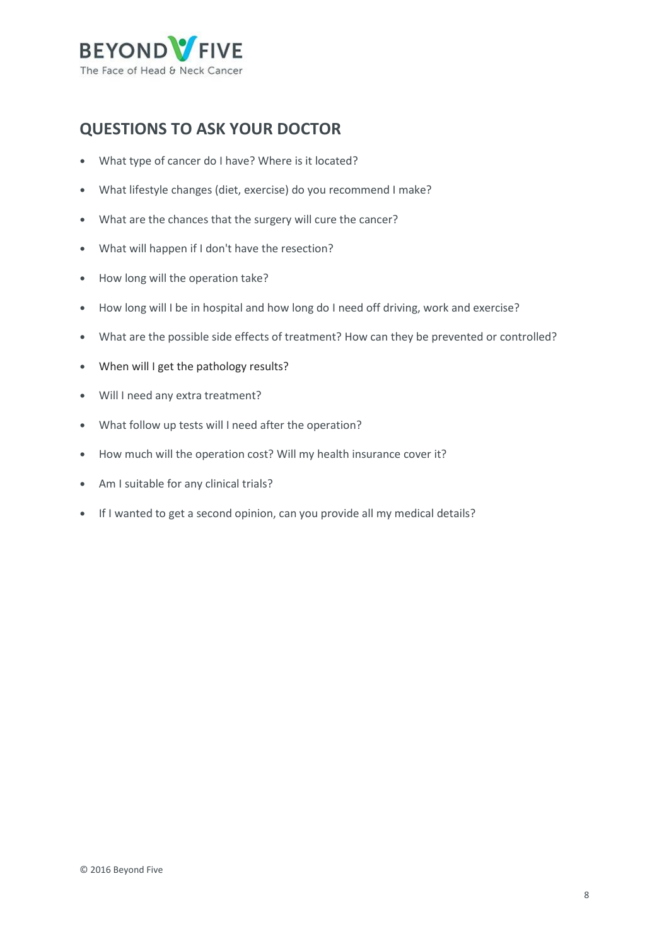

# **QUESTIONS TO ASK YOUR DOCTOR**

- **•** What type of cancer do I have? Where is it located?
- **•** What lifestyle changes (diet, exercise) do you recommend I make?
- **•** What are the chances that the surgery will cure the cancer?
- **•** What will happen if I don't have the resection?
- **•** How long will the operation take?
- **•** How long will I be in hospital and how long do I need off driving, work and exercise?
- **•** What are the possible side effects of treatment? How can they be prevented or controlled?
- **•** When will I get the pathology results?
- **•** Will I need any extra treatment?
- **•** What follow up tests will I need after the operation?
- **•** How much will the operation cost? Will my health insurance cover it?
- **•** Am I suitable for any clinical trials?
- **•** If I wanted to get a second opinion, can you provide all my medical details?